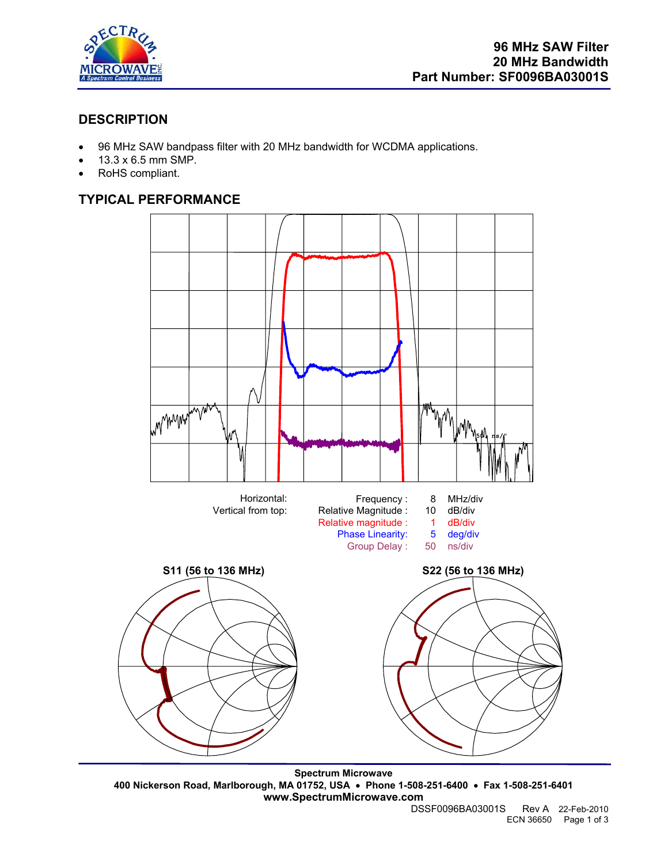

# **DESCRIPTION**

- 96 MHz SAW bandpass filter with 20 MHz bandwidth for WCDMA applications.
- 13.3 x 6.5 mm SMP.
- RoHS compliant.

# **TYPICAL PERFORMANCE**



**Spectrum Microwave 400 Nickerson Road, Marlborough, MA 01752, USA** • **Phone 1-508-251-6400** • **Fax 1-508-251-6401 www.SpectrumMicrowave.com** 

Rev A 22-Feb-2010 ECN 36650 Page 1 of 3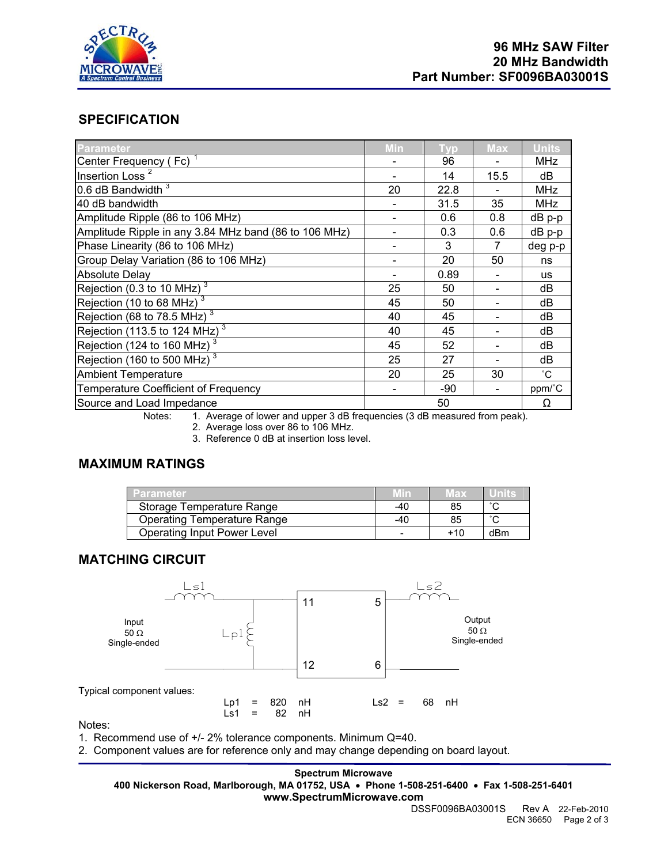

## **SPECIFICATION**

| <b>Parameter</b>                                      | Min | Tvp   | <b>Max</b> | <b>Units</b> |
|-------------------------------------------------------|-----|-------|------------|--------------|
| Center Frequency (Fc) <sup>1</sup>                    |     | 96    |            | <b>MHz</b>   |
| Insertion Loss <sup>2</sup>                           |     | 14    | 15.5       | dB           |
| 0.6 dB Bandwidth $3$                                  | 20  | 22.8  |            | <b>MHz</b>   |
| 40 dB bandwidth                                       |     | 31.5  | 35         | <b>MHz</b>   |
| Amplitude Ripple (86 to 106 MHz)                      |     | 0.6   | 0.8        | dB p-p       |
| Amplitude Ripple in any 3.84 MHz band (86 to 106 MHz) |     | 0.3   | 0.6        | dB p-p       |
| Phase Linearity (86 to 106 MHz)                       |     | 3     | 7          | deg p-p      |
| Group Delay Variation (86 to 106 MHz)                 |     | 20    | 50         | ns           |
| <b>Absolute Delay</b>                                 |     | 0.89  |            | <b>us</b>    |
| Rejection (0.3 to 10 MHz) $3$                         | 25  | 50    |            | dB           |
| Rejection (10 to 68 MHz) $3$                          | 45  | 50    |            | dB           |
| Rejection (68 to 78.5 MHz) $3$                        | 40  | 45    |            | dB           |
| Rejection (113.5 to 124 MHz) $3$                      | 40  | 45    |            | dB           |
| Rejection (124 to 160 MHz) $^3$                       | 45  | 52    |            | dB           |
| Rejection (160 to 500 MHz) $^3$                       | 25  | 27    |            | dB           |
| <b>Ambient Temperature</b>                            | 20  | 25    | 30         | $^{\circ}$ C |
| Temperature Coefficient of Frequency                  |     | $-90$ |            | ppm/°C       |
| Source and Load Impedance                             | 50  |       |            | Ω            |

Notes: 1. Average of lower and upper 3 dB frequencies (3 dB measured from peak).

2. Average loss over 86 to 106 MHz.

3. Reference 0 dB at insertion loss level.

# **MAXIMUM RATINGS**

| <b>Parameter</b>                   |       | Max |        |
|------------------------------------|-------|-----|--------|
| Storage Temperature Range          | $-40$ | 85  | $\sim$ |
| Operating Temperature Range        | $-40$ | 85  | $\sim$ |
| <b>Operating Input Power Level</b> |       | +10 | dBm    |

### **MATCHING CIRCUIT**



Notes:

1. Recommend use of +/- 2% tolerance components. Minimum Q=40.

2. Component values are for reference only and may change depending on board layout.

**Spectrum Microwave** 

**400 Nickerson Road, Marlborough, MA 01752, USA** • **Phone 1-508-251-6400** • **Fax 1-508-251-6401 www.SpectrumMicrowave.com** 

DSSF0096BA03001S Rev A 22-Feb-2010 ECN 36650 Page 2 of 3